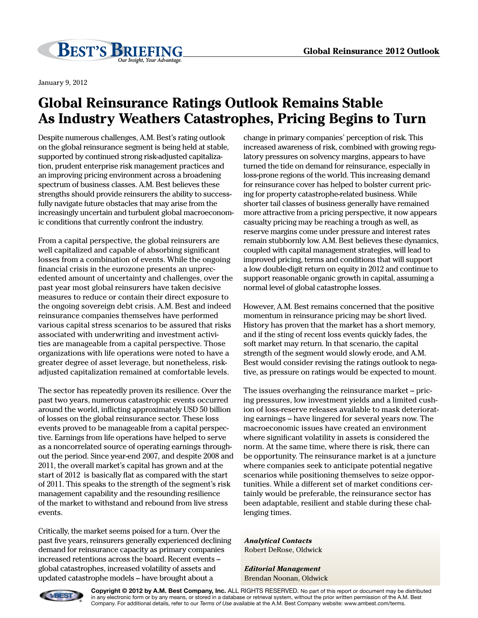

January 9, 2012

## **Global Reinsurance Ratings Outlook Remains Stable As Industry Weathers Catastrophes, Pricing Begins to Turn**

Despite numerous challenges, A.M. Best's rating outlook on the global reinsurance segment is being held at stable, supported by continued strong risk-adjusted capitalization, prudent enterprise risk management practices and an improving pricing environment across a broadening spectrum of business classes. A.M. Best believes these strengths should provide reinsurers the ability to successfully navigate future obstacles that may arise from the increasingly uncertain and turbulent global macroeconomic conditions that currently confront the industry.

From a capital perspective, the global reinsurers are well capitalized and capable of absorbing significant losses from a combination of events. While the ongoing financial crisis in the eurozone presents an unprecedented amount of uncertainty and challenges, over the past year most global reinsurers have taken decisive measures to reduce or contain their direct exposure to the ongoing sovereign debt crisis. A.M. Best and indeed reinsurance companies themselves have performed various capital stress scenarios to be assured that risks associated with underwriting and investment activities are manageable from a capital perspective. Those organizations with life operations were noted to have a greater degree of asset leverage, but nonetheless, riskadjusted capitalization remained at comfortable levels.

The sector has repeatedly proven its resilience. Over the past two years, numerous catastrophic events occurred around the world, inflicting approximately USD 50 billion of losses on the global reinsurance sector. These loss events proved to be manageable from a capital perspective. Earnings from life operations have helped to serve as a noncorrelated source of operating earnings throughout the period. Since year-end 2007, and despite 2008 and 2011, the overall market's capital has grown and at the start of 2012 is basically flat as compared with the start of 2011. This speaks to the strength of the segment's risk management capability and the resounding resilience of the market to withstand and rebound from live stress events.

Critically, the market seems poised for a turn. Over the past five years, reinsurers generally experienced declining demand for reinsurance capacity as primary companies increased retentions across the board. Recent events – global catastrophes, increased volatility of assets and updated catastrophe models – have brought about a

change in primary companies' perception of risk. This increased awareness of risk, combined with growing regulatory pressures on solvency margins, appears to have turned the tide on demand for reinsurance, especially in loss-prone regions of the world. This increasing demand for reinsurance cover has helped to bolster current pricing for property catastrophe-related business. While shorter tail classes of business generally have remained more attractive from a pricing perspective, it now appears casualty pricing may be reaching a trough as well, as reserve margins come under pressure and interest rates remain stubbornly low. A.M. Best believes these dynamics, coupled with capital management strategies, will lead to improved pricing, terms and conditions that will support a low double-digit return on equity in 2012 and continue to support reasonable organic growth in capital, assuming a normal level of global catastrophe losses.

However, A.M. Best remains concerned that the positive momentum in reinsurance pricing may be short lived. History has proven that the market has a short memory, and if the sting of recent loss events quickly fades, the soft market may return. In that scenario, the capital strength of the segment would slowly erode, and A.M. Best would consider revising the ratings outlook to negative, as pressure on ratings would be expected to mount.

The issues overhanging the reinsurance market – pricing pressures, low investment yields and a limited cushion of loss-reserve releases available to mask deteriorating earnings – have lingered for several years now. The macroeconomic issues have created an environment where significant volatility in assets is considered the norm. At the same time, where there is risk, there can be opportunity. The reinsurance market is at a juncture where companies seek to anticipate potential negative scenarios while positioning themselves to seize opportunities. While a different set of market conditions certainly would be preferable, the reinsurance sector has been adaptable, resilient and stable during these challenging times.

*Analytical Contacts* Robert DeRose, Oldwick

*Editorial Management* Brendan Noonan, Oldwick



**Copyright © 2012 by A.M. Best Company, Inc.** ALL RIGHTS RESERVED. No part of this report or document may be distributed in any electronic form or by any means, or stored in a database or retrieval system, without the prior written permission of the A.M. Best Company. For additional details, refer to our *Terms of Use* available at the A.M. Best Company website: www.ambest.com/terms.